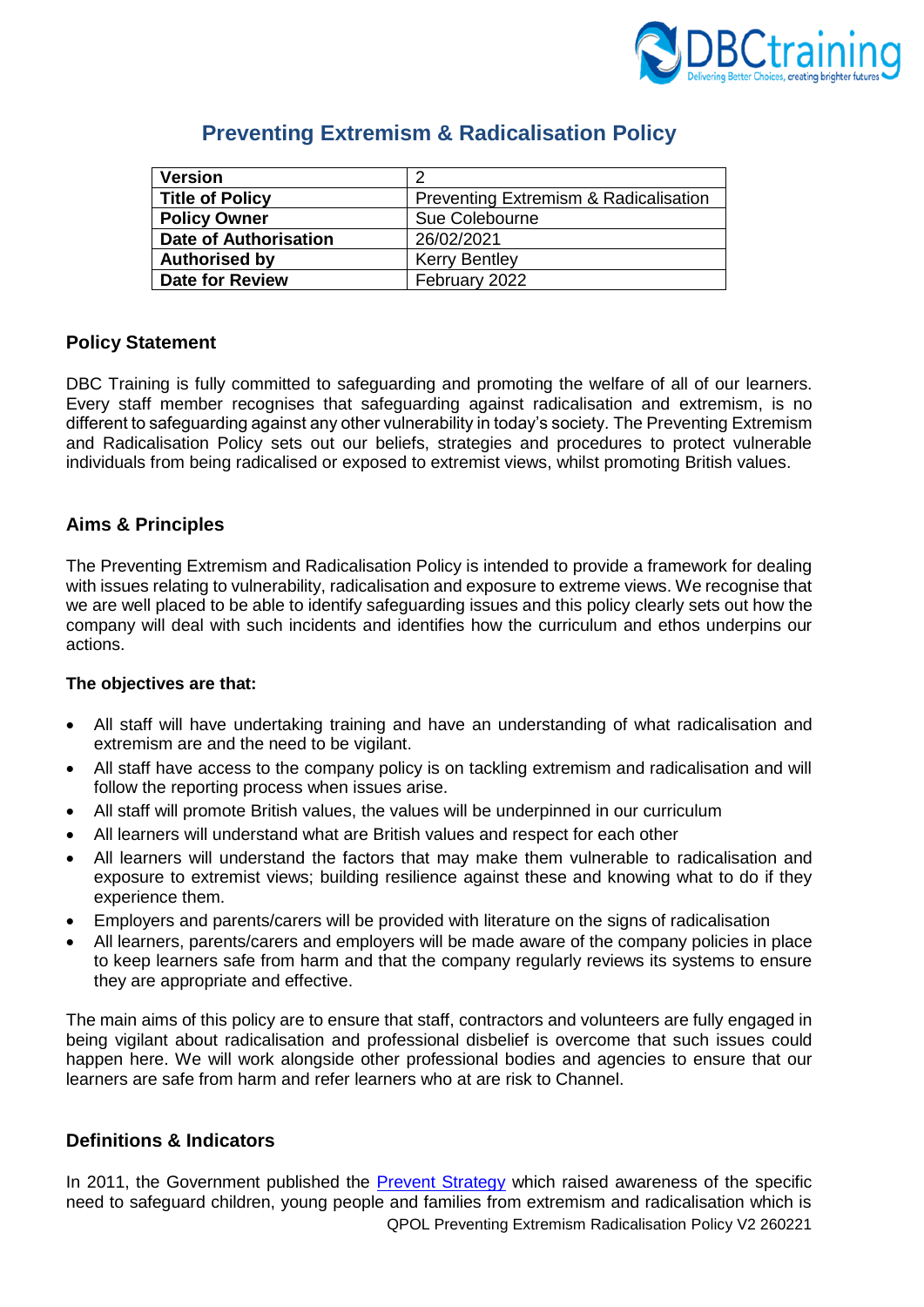

| <b>Version</b>               | 2                                     |
|------------------------------|---------------------------------------|
| <b>Title of Policy</b>       | Preventing Extremism & Radicalisation |
| <b>Policy Owner</b>          | Sue Colebourne                        |
| <b>Date of Authorisation</b> | 26/02/2021                            |
| <b>Authorised by</b>         | <b>Kerry Bentley</b>                  |
| <b>Date for Review</b>       | February 2022                         |

# **Preventing Extremism & Radicalisation Policy**

# **Policy Statement**

DBC Training is fully committed to safeguarding and promoting the welfare of all of our learners. Every staff member recognises that safeguarding against radicalisation and extremism, is no different to safeguarding against any other vulnerability in today's society*.* The Preventing Extremism and Radicalisation Policy sets out our beliefs, strategies and procedures to protect vulnerable individuals from being radicalised or exposed to extremist views, whilst promoting British values.

# **Aims & Principles**

The Preventing Extremism and Radicalisation Policy is intended to provide a framework for dealing with issues relating to vulnerability, radicalisation and exposure to extreme views. We recognise that we are well placed to be able to identify safeguarding issues and this policy clearly sets out how the company will deal with such incidents and identifies how the curriculum and ethos underpins our actions.

#### **The objectives are that:**

- All staff will have undertaking training and have an understanding of what radicalisation and extremism are and the need to be vigilant.
- All staff have access to the company policy is on tackling extremism and radicalisation and will follow the reporting process when issues arise.
- All staff will promote British values, the values will be underpinned in our curriculum
- All learners will understand what are British values and respect for each other
- All learners will understand the factors that may make them vulnerable to radicalisation and exposure to extremist views; building resilience against these and knowing what to do if they experience them.
- Employers and parents/carers will be provided with literature on the signs of radicalisation
- All learners, parents/carers and employers will be made aware of the company policies in place to keep learners safe from harm and that the company regularly reviews its systems to ensure they are appropriate and effective.

The main aims of this policy are to ensure that staff, contractors and volunteers are fully engaged in being vigilant about radicalisation and professional disbelief is overcome that such issues could happen here. We will work alongside other professional bodies and agencies to ensure that our learners are safe from harm and refer learners who at are risk to Channel.

# **Definitions & Indicators**

QPOL Preventing Extremism Radicalisation Policy V2 260221 In 2011, the Government published the [Prevent Strategy](https://assets.publishing.service.gov.uk/government/uploads/system/uploads/attachment_data/file/97976/prevent-strategy-review.pdf) which raised awareness of the specific need to safeguard children, young people and families from extremism and radicalisation which is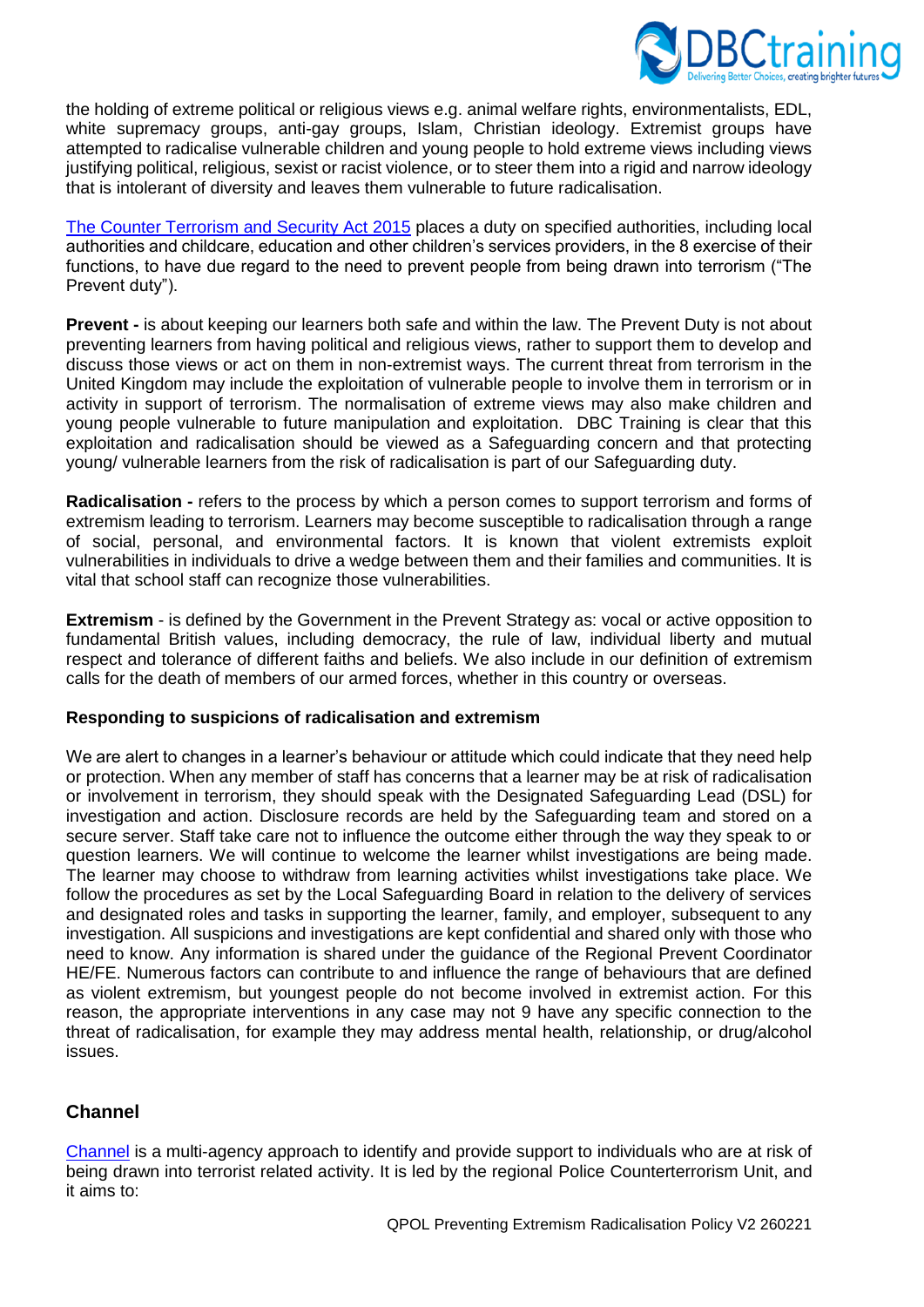

the holding of extreme political or religious views e.g. animal welfare rights, environmentalists, EDL, white supremacy groups, anti-gay groups, Islam, Christian ideology. Extremist groups have attempted to radicalise vulnerable children and young people to hold extreme views including views justifying political, religious, sexist or racist violence, or to steer them into a rigid and narrow ideology that is intolerant of diversity and leaves them vulnerable to future radicalisation.

[The Counter Terrorism and Security Act](https://www.legislation.gov.uk/ukpga/2015/6/contents/enacted) 2015 places a duty on specified authorities, including local authorities and childcare, education and other children's services providers, in the 8 exercise of their functions, to have due regard to the need to prevent people from being drawn into terrorism ("The Prevent duty").

**Prevent** - is about keeping our learners both safe and within the law. The Prevent Duty is not about preventing learners from having political and religious views, rather to support them to develop and discuss those views or act on them in non-extremist ways. The current threat from terrorism in the United Kingdom may include the exploitation of vulnerable people to involve them in terrorism or in activity in support of terrorism. The normalisation of extreme views may also make children and young people vulnerable to future manipulation and exploitation. DBC Training is clear that this exploitation and radicalisation should be viewed as a Safeguarding concern and that protecting young/ vulnerable learners from the risk of radicalisation is part of our Safeguarding duty.

**Radicalisation -** refers to the process by which a person comes to support terrorism and forms of extremism leading to terrorism. Learners may become susceptible to radicalisation through a range of social, personal, and environmental factors. It is known that violent extremists exploit vulnerabilities in individuals to drive a wedge between them and their families and communities. It is vital that school staff can recognize those vulnerabilities.

**Extremism** - is defined by the Government in the Prevent Strategy as: vocal or active opposition to fundamental British values, including democracy, the rule of law, individual liberty and mutual respect and tolerance of different faiths and beliefs. We also include in our definition of extremism calls for the death of members of our armed forces, whether in this country or overseas.

#### **Responding to suspicions of radicalisation and extremism**

We are alert to changes in a learner's behaviour or attitude which could indicate that they need help or protection. When any member of staff has concerns that a learner may be at risk of radicalisation or involvement in terrorism, they should speak with the Designated Safeguarding Lead (DSL) for investigation and action. Disclosure records are held by the Safeguarding team and stored on a secure server. Staff take care not to influence the outcome either through the way they speak to or question learners. We will continue to welcome the learner whilst investigations are being made. The learner may choose to withdraw from learning activities whilst investigations take place. We follow the procedures as set by the Local Safeguarding Board in relation to the delivery of services and designated roles and tasks in supporting the learner, family, and employer, subsequent to any investigation. All suspicions and investigations are kept confidential and shared only with those who need to know. Any information is shared under the guidance of the Regional Prevent Coordinator HE/FE. Numerous factors can contribute to and influence the range of behaviours that are defined as violent extremism, but youngest people do not become involved in extremist action. For this reason, the appropriate interventions in any case may not 9 have any specific connection to the threat of radicalisation, for example they may address mental health, relationship, or drug/alcohol issues.

# **Channel**

[Channel](https://assets.publishing.service.gov.uk/government/uploads/system/uploads/attachment_data/file/964567/6.6271_HO_HMG_Channel_Duty_Guidance_v14_Web.pdf) is a multi-agency approach to identify and provide support to individuals who are at risk of being drawn into terrorist related activity. It is led by the regional Police Counterterrorism Unit, and it aims to: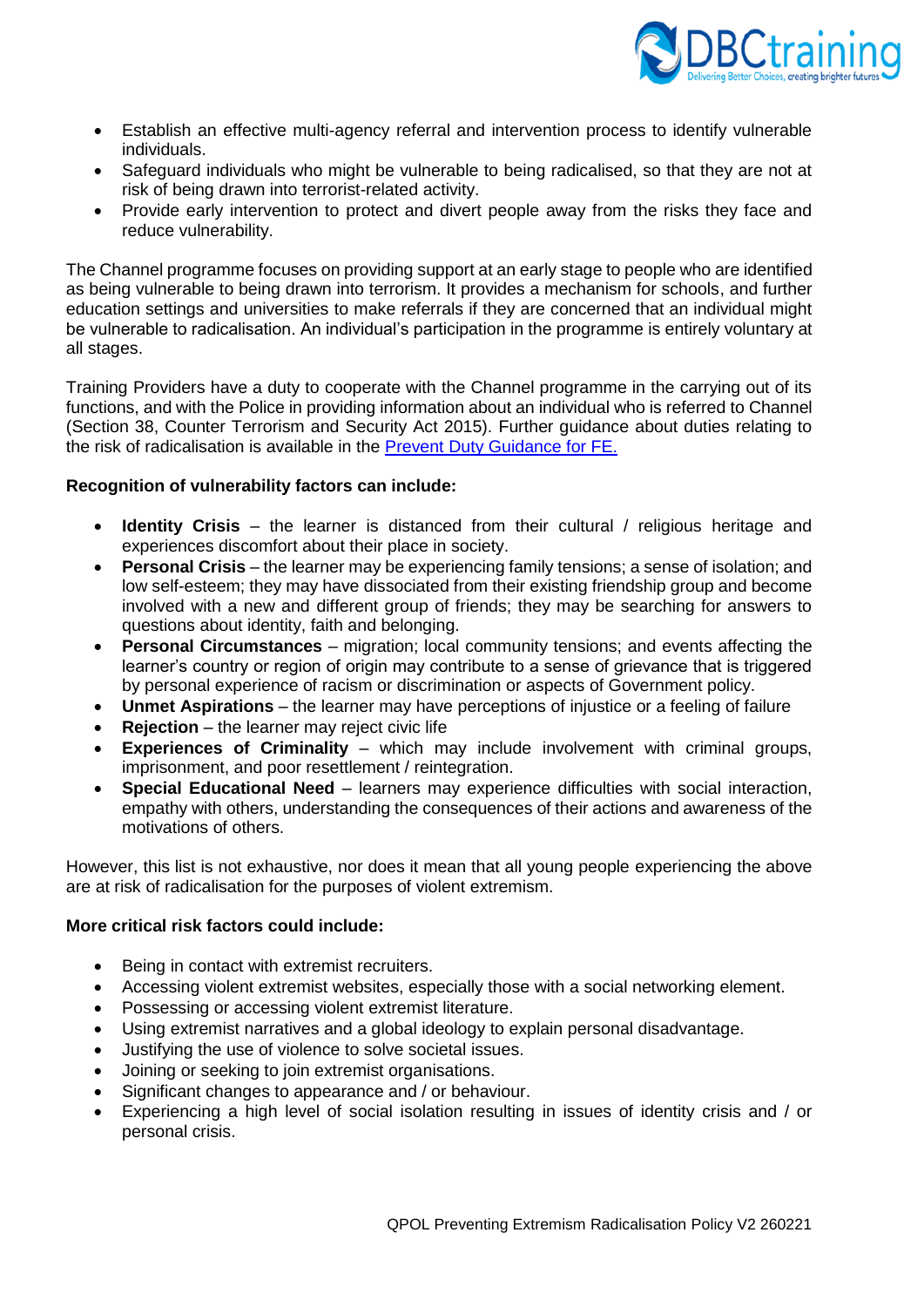

- Establish an effective multi-agency referral and intervention process to identify vulnerable individuals.
- Safeguard individuals who might be vulnerable to being radicalised, so that they are not at risk of being drawn into terrorist-related activity.
- Provide early intervention to protect and divert people away from the risks they face and reduce vulnerability.

The Channel programme focuses on providing support at an early stage to people who are identified as being vulnerable to being drawn into terrorism. It provides a mechanism for schools, and further education settings and universities to make referrals if they are concerned that an individual might be vulnerable to radicalisation. An individual's participation in the programme is entirely voluntary at all stages.

Training Providers have a duty to cooperate with the Channel programme in the carrying out of its functions, and with the Police in providing information about an individual who is referred to Channel (Section 38, Counter Terrorism and Security Act 2015). Further guidance about duties relating to the risk of radicalisation is available in the [Prevent Duty Guidance for FE.](https://www.gov.uk/government/publications/prevent-duty-guidance/prevent-duty-guidance-for-further-education-institutions-in-england-and-wales)

#### **Recognition of vulnerability factors can include:**

- **Identity Crisis** the learner is distanced from their cultural / religious heritage and experiences discomfort about their place in society.
- **Personal Crisis** the learner may be experiencing family tensions; a sense of isolation; and low self-esteem; they may have dissociated from their existing friendship group and become involved with a new and different group of friends; they may be searching for answers to questions about identity, faith and belonging.
- **Personal Circumstances** migration; local community tensions; and events affecting the learner's country or region of origin may contribute to a sense of grievance that is triggered by personal experience of racism or discrimination or aspects of Government policy.
- **Unmet Aspirations**  the learner may have perceptions of injustice or a feeling of failure
- **Rejection** the learner may reject civic life
- **Experiences of Criminality** which may include involvement with criminal groups, imprisonment, and poor resettlement / reintegration.
- **Special Educational Need** learners may experience difficulties with social interaction, empathy with others, understanding the consequences of their actions and awareness of the motivations of others.

However, this list is not exhaustive, nor does it mean that all young people experiencing the above are at risk of radicalisation for the purposes of violent extremism.

#### **More critical risk factors could include:**

- Being in contact with extremist recruiters.
- Accessing violent extremist websites, especially those with a social networking element.
- Possessing or accessing violent extremist literature.
- Using extremist narratives and a global ideology to explain personal disadvantage.
- Justifying the use of violence to solve societal issues.
- Joining or seeking to join extremist organisations.
- Significant changes to appearance and / or behaviour.
- Experiencing a high level of social isolation resulting in issues of identity crisis and / or personal crisis.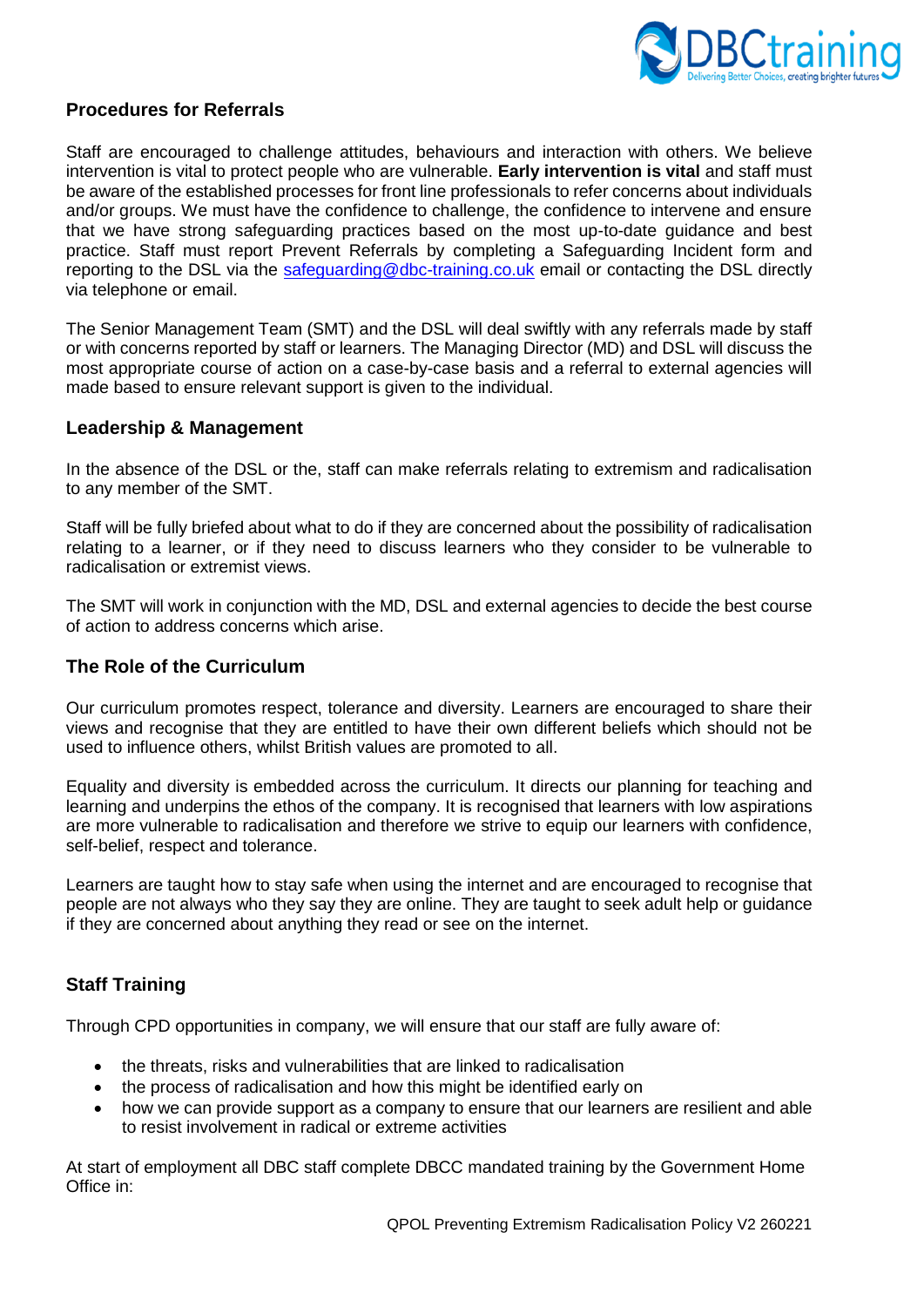

### **Procedures for Referrals**

Staff are encouraged to challenge attitudes, behaviours and interaction with others. We believe intervention is vital to protect people who are vulnerable. **Early intervention is vital** and staff must be aware of the established processes for front line professionals to refer concerns about individuals and/or groups. We must have the confidence to challenge, the confidence to intervene and ensure that we have strong safeguarding practices based on the most up-to-date guidance and best practice. Staff must report Prevent Referrals by completing a Safeguarding Incident form and reporting to the DSL via the [safeguarding@dbc-training.co.uk](mailto:safeguarding@dbc-training.co.uk) email or contacting the DSL directly via telephone or email.

The Senior Management Team (SMT) and the DSL will deal swiftly with any referrals made by staff or with concerns reported by staff or learners. The Managing Director (MD) and DSL will discuss the most appropriate course of action on a case-by-case basis and a referral to external agencies will made based to ensure relevant support is given to the individual.

#### **Leadership & Management**

In the absence of the DSL or the, staff can make referrals relating to extremism and radicalisation to any member of the SMT.

Staff will be fully briefed about what to do if they are concerned about the possibility of radicalisation relating to a learner, or if they need to discuss learners who they consider to be vulnerable to radicalisation or extremist views.

The SMT will work in conjunction with the MD, DSL and external agencies to decide the best course of action to address concerns which arise.

# **The Role of the Curriculum**

Our curriculum promotes respect, tolerance and diversity. Learners are encouraged to share their views and recognise that they are entitled to have their own different beliefs which should not be used to influence others, whilst British values are promoted to all.

Equality and diversity is embedded across the curriculum. It directs our planning for teaching and learning and underpins the ethos of the company. It is recognised that learners with low aspirations are more vulnerable to radicalisation and therefore we strive to equip our learners with confidence, self-belief, respect and tolerance.

Learners are taught how to stay safe when using the internet and are encouraged to recognise that people are not always who they say they are online. They are taught to seek adult help or guidance if they are concerned about anything they read or see on the internet.

# **Staff Training**

Through CPD opportunities in company, we will ensure that our staff are fully aware of:

- the threats, risks and vulnerabilities that are linked to radicalisation
- the process of radicalisation and how this might be identified early on
- how we can provide support as a company to ensure that our learners are resilient and able to resist involvement in radical or extreme activities

At start of employment all DBC staff complete DBCC mandated training by the Government Home Office in: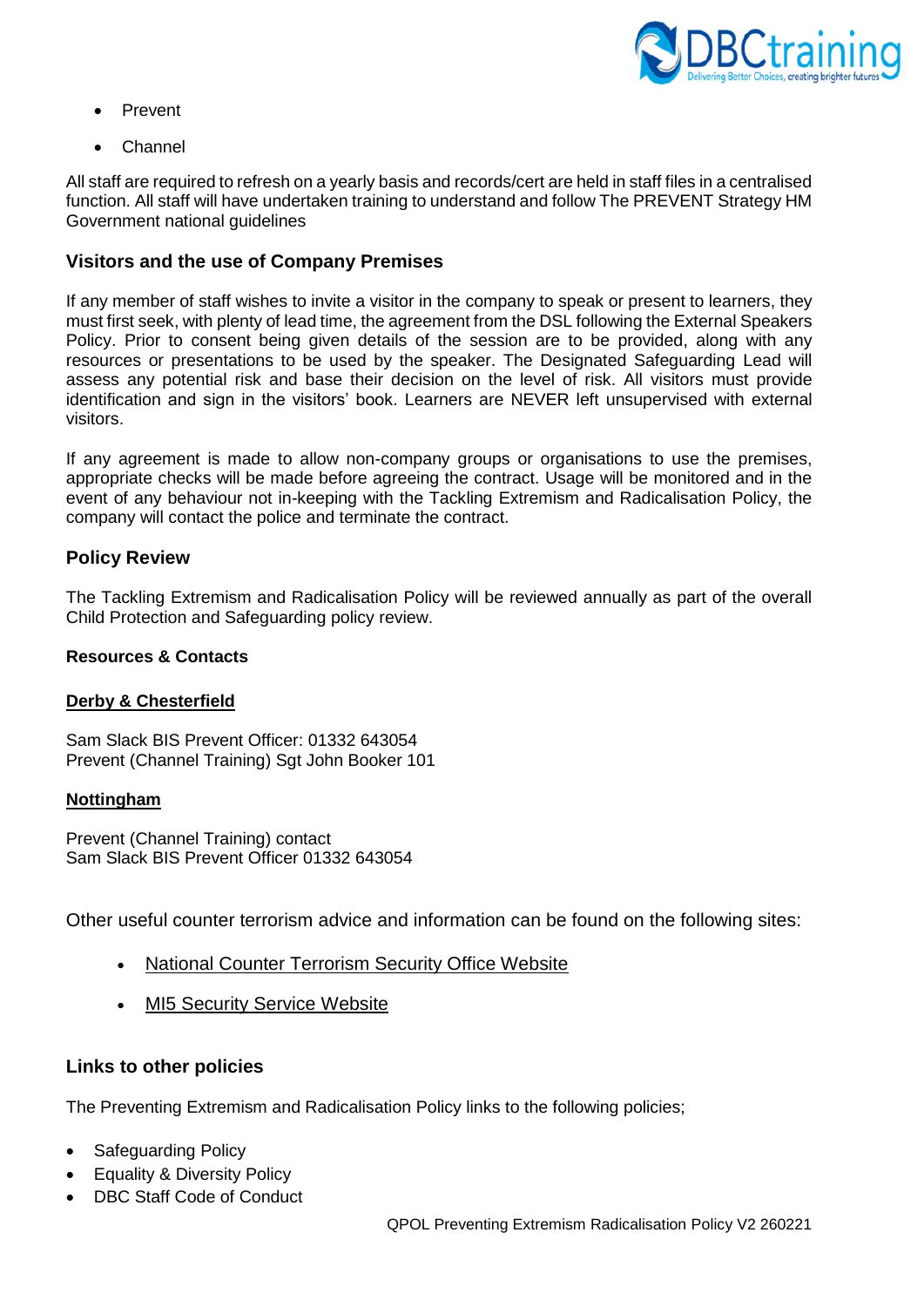

- Prevent
- Channel

All staff are required to refresh on a yearly basis and records/cert are held in staff files in a centralised function. All staff will have undertaken training to understand and follow The PREVENT Strategy HM Government national guidelines

### **Visitors and the use of Company Premises**

If any member of staff wishes to invite a visitor in the company to speak or present to learners, they must first seek, with plenty of lead time, the agreement from the DSL following the External Speakers Policy. Prior to consent being given details of the session are to be provided, along with any resources or presentations to be used by the speaker. The Designated Safeguarding Lead will assess any potential risk and base their decision on the level of risk. All visitors must provide identification and sign in the visitors' book. Learners are NEVER left unsupervised with external visitors.

If any agreement is made to allow non-company groups or organisations to use the premises, appropriate checks will be made before agreeing the contract. Usage will be monitored and in the event of any behaviour not in-keeping with the Tackling Extremism and Radicalisation Policy, the company will contact the police and terminate the contract.

### **Policy Review**

The Tackling Extremism and Radicalisation Policy will be reviewed annually as part of the overall Child Protection and Safeguarding policy review.

#### **Resources & Contacts**

#### **Derby & Chesterfield**

Sam Slack BIS Prevent Officer: 01332 643054 Prevent (Channel Training) Sgt John Booker 101

#### **Nottingham**

Prevent (Channel Training) contact Sam Slack BIS Prevent Officer 01332 643054

Other useful counter terrorism advice and information can be found on the following sites:

- [National Counter Terrorism Security Office Website](http://www.nactso.gov.uk/)
- **[MI5 Security Service Website](https://www.mi5.gov.uk/)**

# **Links to other policies**

The Preventing Extremism and Radicalisation Policy links to the following policies;

- Safeguarding Policy
- Equality & Diversity Policy
- DBC Staff Code of Conduct